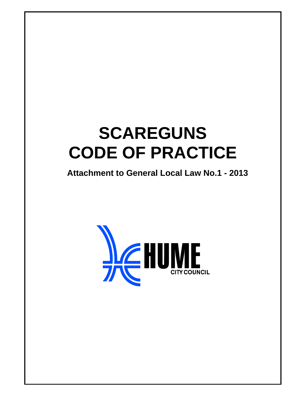# **SCAREGUNS CODE OF PRACTICE**

**Attachment to General Local Law No.1 - 2013** 

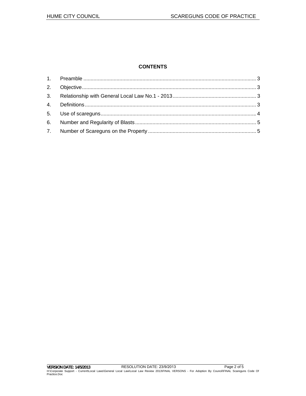# **CONTENTS**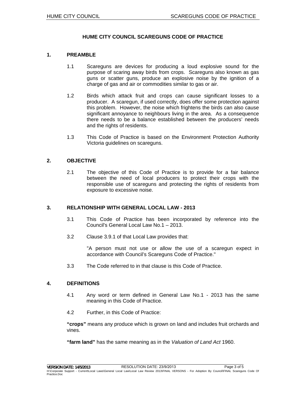# **HUME CITY COUNCIL SCAREGUNS CODE OF PRACTICE**

#### **1. PREAMBLE**

- 1.1 Scareguns are devices for producing a loud explosive sound for the purpose of scaring away birds from crops. Scareguns also known as gas guns or scatter guns, produce an explosive noise by the ignition of a charge of gas and air or commodities similar to gas or air.
- 1.2 Birds which attack fruit and crops can cause significant losses to a producer. A scaregun, if used correctly, does offer some protection against this problem. However, the noise which frightens the birds can also cause significant annoyance to neighbours living in the area. As a consequence there needs to be a balance established between the producers' needs and the rights of residents.
- 1.3 This Code of Practice is based on the Environment Protection Authority Victoria guidelines on scareguns.

#### **2. OBJECTIVE**

2.1 The objective of this Code of Practice is to provide for a fair balance between the need of local producers to protect their crops with the responsible use of scareguns and protecting the rights of residents from exposure to excessive noise.

#### **3. RELATIONSHIP WITH GENERAL LOCAL LAW - 2013**

- 3.1 This Code of Practice has been incorporated by reference into the Council's General Local Law No.1 – 2013.
- 3.2 Clause 3.9.1 of that Local Law provides that:

"A person must not use or allow the use of a scaregun expect in accordance with Council's Scareguns Code of Practice."

3.3 The Code referred to in that clause is this Code of Practice.

#### **4. DEFINITIONS**

- 4.1 Any word or term defined in General Law No.1 2013 has the same meaning in this Code of Practice.
- 4.2 Further, in this Code of Practice:

**"crops"** means any produce which is grown on land and includes fruit orchards and vines.

**"farm land"** has the same meaning as in the *Valuation of Land Act* 1960.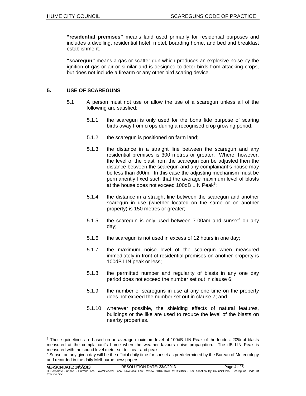**"residential premises"** means land used primarily for residential purposes and includes a dwelling, residential hotel, motel, boarding home, and bed and breakfast establishment.

**"scaregun"** means a gas or scatter gun which produces an explosive noise by the ignition of gas or air or similar and is designed to deter birds from attacking crops, but does not include a firearm or any other bird scaring device.

# **5. USE OF SCAREGUNS**

- 5.1 A person must not use or allow the use of a scaregun unless all of the following are satisfied:
	- 5.1.1 the scaregun is only used for the bona fide purpose of scaring birds away from crops during a recognised crop growing period;
	- 5.1.2 the scaregun is positioned on farm land;
	- 5.1.3 the distance in a straight line between the scaregun and any residential premises is 300 metres or greater. Where, however, the level of the blast from the scaregun can be adjusted then the distance between the scaregun and any complainant's house may be less than 300m. In this case the adjusting mechanism must be permanently fixed such that the average maximum level of blasts at the house does not exceed 100dB LIN Peak<sup>®</sup>;
	- 5.1.4 the distance in a straight line between the scaregun and another scaregun in use (whether located on the same or on another property) is 150 metres or greater;
	- 5.1.5 the scaregun is only used between 7-00am and sunset\* on any day;
	- 5.1.6 the scaregun is not used in excess of 12 hours in one day;
	- 5.1.7 the maximum noise level of the scaregun when measured immediately in front of residential premises on another property is 100dB LIN peak or less;
	- 5.1.8 the permitted number and regularity of blasts in any one day period does not exceed the number set out in clause 6;
	- 5.1.9 the number of scareguns in use at any one time on the property does not exceed the number set out in clause 7; and
	- 5.1.10 wherever possible, the shielding effects of natural features, buildings or the like are used to reduce the level of the blasts on nearby properties.

 $\textsuperscript{4}$  These guidelines are based on an average maximum level of 100dB LIN Peak of the loudest 20% of blasts measured at the complainant's home when the weather favours noise propagation. The dB LIN Peak is measured with the sound level meter set to linear and peak.

<sup>\*</sup> Sunset on any given day will be the official daily time for sunset as predetermined by the Bureau of Meteorology and recorded in the daily Melbourne newspapers.